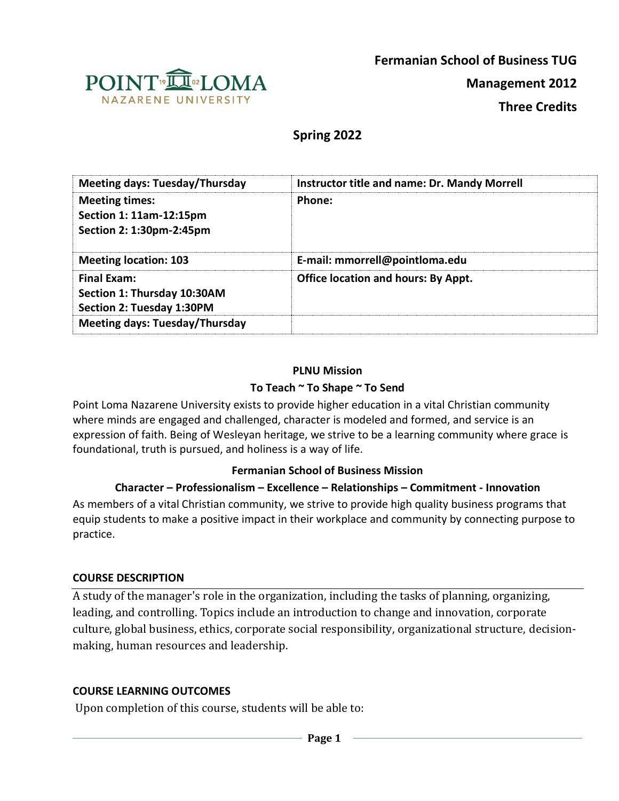

**Fermanian School of Business TUG**

**Management 2012**

**Three Credits**

# **Spring 2022**

| <b>Meeting days: Tuesday/Thursday</b>                                                 | Instructor title and name: Dr. Mandy Morrell |
|---------------------------------------------------------------------------------------|----------------------------------------------|
| <b>Meeting times:</b><br>Section 1: 11am-12:15pm<br>Section 2: 1:30pm-2:45pm          | Phone:                                       |
| <b>Meeting location: 103</b>                                                          | E-mail: mmorrell@pointloma.edu               |
| <b>Final Exam:</b><br>Section 1: Thursday 10:30AM<br><b>Section 2: Tuesday 1:30PM</b> | <b>Office location and hours: By Appt.</b>   |
| <b>Meeting days: Tuesday/Thursday</b>                                                 |                                              |

### **PLNU Mission**

#### **To Teach ~ To Shape ~ To Send**

Point Loma Nazarene University exists to provide higher education in a vital Christian community where minds are engaged and challenged, character is modeled and formed, and service is an expression of faith. Being of Wesleyan heritage, we strive to be a learning community where grace is foundational, truth is pursued, and holiness is a way of life.

### **Fermanian School of Business Mission**

### **Character – Professionalism – Excellence – Relationships – Commitment - Innovation**

As members of a vital Christian community, we strive to provide high quality business programs that equip students to make a positive impact in their workplace and community by connecting purpose to practice.

#### **COURSE DESCRIPTION**

A study of the manager's role in the organization, including the tasks of planning, organizing, leading, and controlling. Topics include an introduction to change and innovation, corporate culture, global business, ethics, corporate social responsibility, organizational structure, decisionmaking, human resources and leadership.

### **COURSE LEARNING OUTCOMES**

Upon completion of this course, students will be able to: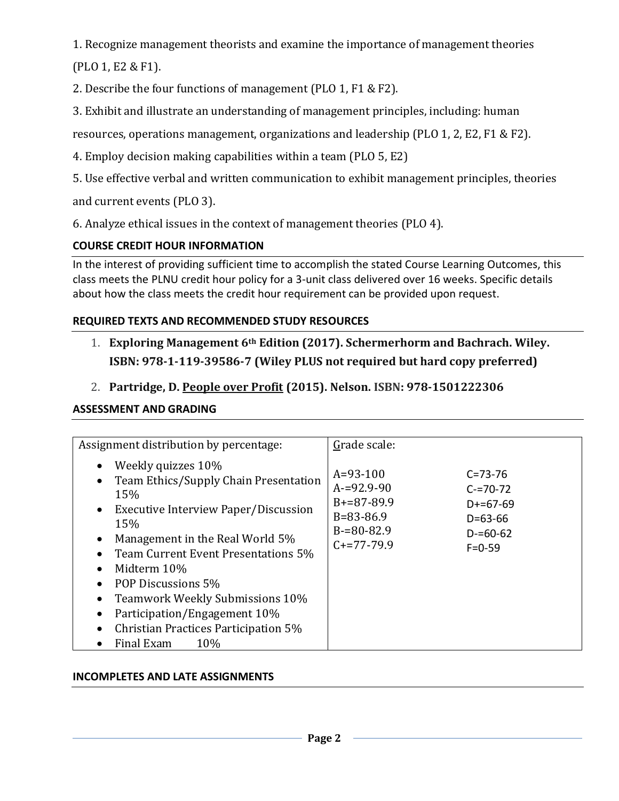1. Recognize management theorists and examine the importance of management theories (PLO 1, E2 & F1).

2. Describe the four functions of management (PLO 1, F1 & F2).

3. Exhibit and illustrate an understanding of management principles, including: human

resources, operations management, organizations and leadership (PLO 1, 2, E2, F1 & F2).

4. Employ decision making capabilities within a team (PLO 5, E2)

5. Use effective verbal and written communication to exhibit management principles, theories and current events (PLO 3).

6. Analyze ethical issues in the context of management theories (PLO 4).

# **COURSE CREDIT HOUR INFORMATION**

In the interest of providing sufficient time to accomplish the stated Course Learning Outcomes, this class meets the PLNU credit hour policy for a 3-unit class delivered over 16 weeks. Specific details about how the class meets the credit hour requirement can be provided upon request.

# **REQUIRED TEXTS AND RECOMMENDED STUDY RESOURCES**

- 1. **Exploring Management 6th Edition (2017). Schermerhorm and Bachrach. Wiley. ISBN: 978-1-119-39586-7 (Wiley PLUS not required but hard copy preferred)**
- 2. **Partridge, D. People over Profit (2015). Nelson. ISBN: 978-1501222306**

# **ASSESSMENT AND GRADING**

| Assignment distribution by percentage:                                                                                                                                                                                                                                                                                                                                        | Grade scale:                                                                                                                                                                                              |
|-------------------------------------------------------------------------------------------------------------------------------------------------------------------------------------------------------------------------------------------------------------------------------------------------------------------------------------------------------------------------------|-----------------------------------------------------------------------------------------------------------------------------------------------------------------------------------------------------------|
| Weekly quizzes 10%<br>Team Ethics/Supply Chain Presentation<br>15%<br>Executive Interview Paper/Discussion<br>$\bullet$<br>15%<br>Management in the Real World 5%<br>Team Current Event Presentations 5%<br>Midterm 10%<br>POP Discussions 5%<br>Teamwork Weekly Submissions 10%<br>Participation/Engagement 10%<br>Christian Practices Participation 5%<br>Final Exam<br>10% | $A = 93 - 100$<br>$C = 73 - 76$<br>$A = 92.9 - 90$<br>$C = 70 - 72$<br>$B+=87-89.9$<br>$D+=67-69$<br>$B = 83 - 86.9$<br>$D = 63 - 66$<br>$B = 80 - 82.9$<br>$D = 60 - 62$<br>$C+=77-79.9$<br>$F = 0 - 59$ |

# **INCOMPLETES AND LATE ASSIGNMENTS**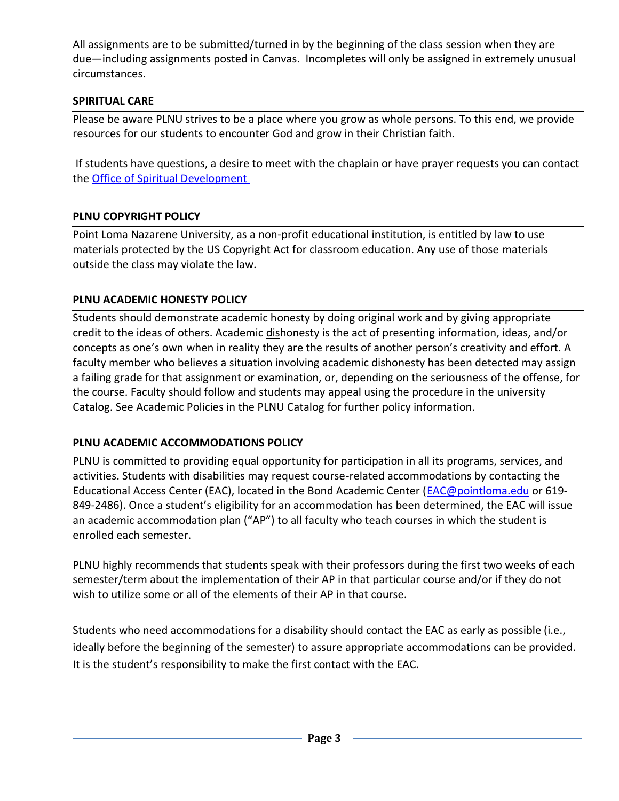All assignments are to be submitted/turned in by the beginning of the class session when they are due—including assignments posted in Canvas. Incompletes will only be assigned in extremely unusual circumstances.

# **SPIRITUAL CARE**

Please be aware PLNU strives to be a place where you grow as whole persons. To this end, we provide resources for our students to encounter God and grow in their Christian faith.

If students have questions, a desire to meet with the chaplain or have prayer requests you can contact the [Office of Spiritual Development](https://www.pointloma.edu/offices/spiritual-development)

# **PLNU COPYRIGHT POLICY**

Point Loma Nazarene University, as a non-profit educational institution, is entitled by law to use materials protected by the US Copyright Act for classroom education. Any use of those materials outside the class may violate the law.

### **PLNU ACADEMIC HONESTY POLICY**

Students should demonstrate academic honesty by doing original work and by giving appropriate credit to the ideas of others. Academic dishonesty is the act of presenting information, ideas, and/or concepts as one's own when in reality they are the results of another person's creativity and effort. A faculty member who believes a situation involving academic dishonesty has been detected may assign a failing grade for that assignment or examination, or, depending on the seriousness of the offense, for the course. Faculty should follow and students may appeal using the procedure in the university Catalog. See Academic Policies in the PLNU Catalog for further policy information.

### **PLNU ACADEMIC ACCOMMODATIONS POLICY**

PLNU is committed to providing equal opportunity for participation in all its programs, services, and activities. Students with disabilities may request course-related accommodations by contacting the Educational Access Center (EAC), located in the Bond Academic Center [\(EAC@pointloma.edu](mailto:EAC@pointloma.edu) or 619- 849-2486). Once a student's eligibility for an accommodation has been determined, the EAC will issue an academic accommodation plan ("AP") to all faculty who teach courses in which the student is enrolled each semester.

PLNU highly recommends that students speak with their professors during the first two weeks of each semester/term about the implementation of their AP in that particular course and/or if they do not wish to utilize some or all of the elements of their AP in that course.

Students who need accommodations for a disability should contact the EAC as early as possible (i.e., ideally before the beginning of the semester) to assure appropriate accommodations can be provided. It is the student's responsibility to make the first contact with the EAC.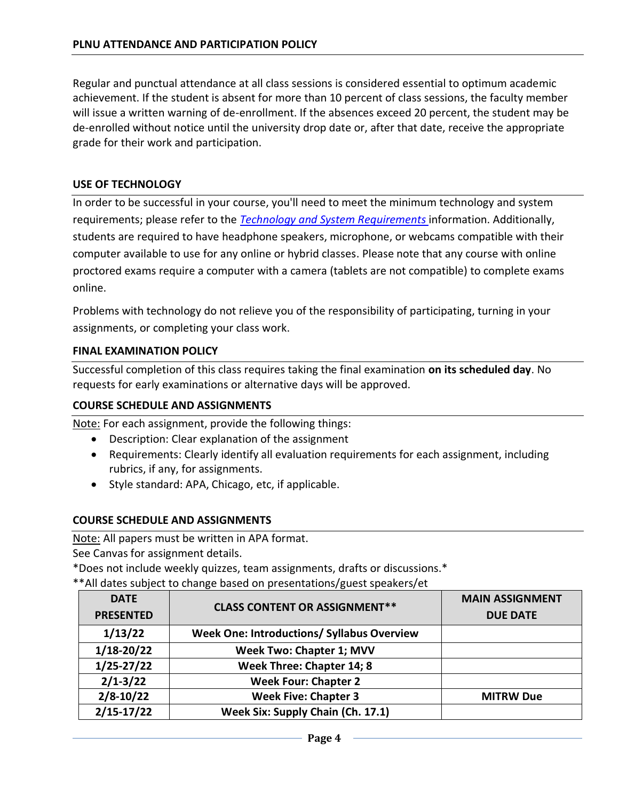Regular and punctual attendance at all class sessions is considered essential to optimum academic achievement. If the student is absent for more than 10 percent of class sessions, the faculty member will issue a written warning of de-enrollment. If the absences exceed 20 percent, the student may be de-enrolled without notice until the university drop date or, after that date, receive the appropriate grade for their work and participation.

### **USE OF TECHNOLOGY**

In order to be successful in your course, you'll need to meet the minimum technology and system requirements; please refer to the *[Technology and System Requirements](https://help.pointloma.edu/TDClient/1808/Portal/KB/ArticleDet?ID=108349)* information. Additionally, students are required to have headphone speakers, microphone, or webcams compatible with their computer available to use for any online or hybrid classes. Please note that any course with online proctored exams require a computer with a camera (tablets are not compatible) to complete exams online.

Problems with technology do not relieve you of the responsibility of participating, turning in your assignments, or completing your class work.

#### **FINAL EXAMINATION POLICY**

Successful completion of this class requires taking the final examination **on its scheduled day**. No requests for early examinations or alternative days will be approved.

#### **COURSE SCHEDULE AND ASSIGNMENTS**

Note: For each assignment, provide the following things:

- Description: Clear explanation of the assignment
- Requirements: Clearly identify all evaluation requirements for each assignment, including rubrics, if any, for assignments.
- Style standard: APA, Chicago, etc, if applicable.

### **COURSE SCHEDULE AND ASSIGNMENTS**

Note: All papers must be written in APA format.

See Canvas for assignment details.

\*Does not include weekly quizzes, team assignments, drafts or discussions.\*

\*\*All dates subject to change based on presentations/guest speakers/et

| <b>DATE</b>      | <b>CLASS CONTENT OR ASSIGNMENT**</b>              | <b>MAIN ASSIGNMENT</b> |
|------------------|---------------------------------------------------|------------------------|
| <b>PRESENTED</b> |                                                   | <b>DUE DATE</b>        |
| 1/13/22          | <b>Week One: Introductions/ Syllabus Overview</b> |                        |
| $1/18 - 20/22$   | <b>Week Two: Chapter 1; MVV</b>                   |                        |
| $1/25 - 27/22$   | Week Three: Chapter 14; 8                         |                        |
| $2/1 - 3/22$     | <b>Week Four: Chapter 2</b>                       |                        |
| $2/8 - 10/22$    | <b>Week Five: Chapter 3</b>                       | <b>MITRW Due</b>       |
| $2/15 - 17/22$   | Week Six: Supply Chain (Ch. 17.1)                 |                        |